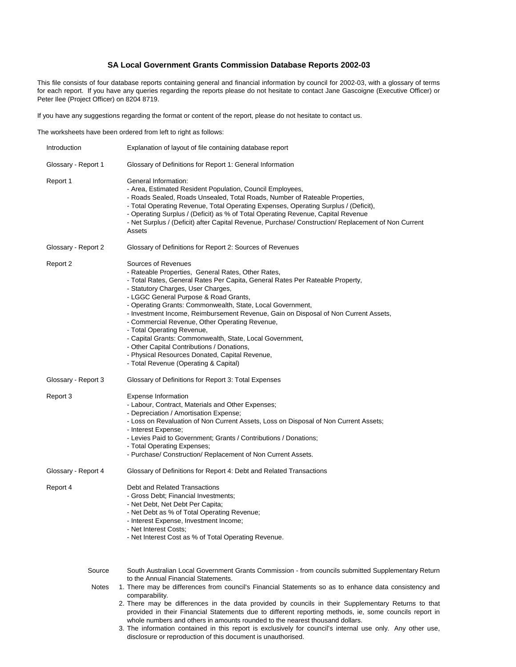# **SA Local Government Grants Commission Database Reports 2002-03**

This file consists of four database reports containing general and financial information by council for 2002-03, with a glossary of terms for each report. If you have any queries regarding the reports please do not hesitate to contact Jane Gascoigne (Executive Officer) or Peter Ilee (Project Officer) on 8204 8719.

If you have any suggestions regarding the format or content of the report, please do not hesitate to contact us.

The worksheets have been ordered from left to right as follows:

| Introduction        | Explanation of layout of file containing database report                                                                                                                                                                                                                                                                                                                                                                                                                                                                                                                                                                                                                            |
|---------------------|-------------------------------------------------------------------------------------------------------------------------------------------------------------------------------------------------------------------------------------------------------------------------------------------------------------------------------------------------------------------------------------------------------------------------------------------------------------------------------------------------------------------------------------------------------------------------------------------------------------------------------------------------------------------------------------|
| Glossary - Report 1 | Glossary of Definitions for Report 1: General Information                                                                                                                                                                                                                                                                                                                                                                                                                                                                                                                                                                                                                           |
| Report 1            | General Information:<br>- Area, Estimated Resident Population, Council Employees,<br>- Roads Sealed, Roads Unsealed, Total Roads, Number of Rateable Properties,<br>- Total Operating Revenue, Total Operating Expenses, Operating Surplus / (Deficit),<br>- Operating Surplus / (Deficit) as % of Total Operating Revenue, Capital Revenue<br>- Net Surplus / (Deficit) after Capital Revenue, Purchase/ Construction/ Replacement of Non Current<br>Assets                                                                                                                                                                                                                        |
| Glossary - Report 2 | Glossary of Definitions for Report 2: Sources of Revenues                                                                                                                                                                                                                                                                                                                                                                                                                                                                                                                                                                                                                           |
| Report 2            | Sources of Revenues<br>- Rateable Properties, General Rates, Other Rates,<br>- Total Rates, General Rates Per Capita, General Rates Per Rateable Property,<br>- Statutory Charges, User Charges,<br>- LGGC General Purpose & Road Grants,<br>- Operating Grants: Commonwealth, State, Local Government,<br>- Investment Income, Reimbursement Revenue, Gain on Disposal of Non Current Assets,<br>- Commercial Revenue, Other Operating Revenue,<br>- Total Operating Revenue,<br>- Capital Grants: Commonwealth, State, Local Government,<br>- Other Capital Contributions / Donations,<br>- Physical Resources Donated, Capital Revenue,<br>- Total Revenue (Operating & Capital) |
| Glossary - Report 3 | Glossary of Definitions for Report 3: Total Expenses                                                                                                                                                                                                                                                                                                                                                                                                                                                                                                                                                                                                                                |
| Report 3            | <b>Expense Information</b><br>- Labour, Contract, Materials and Other Expenses;<br>- Depreciation / Amortisation Expense;<br>- Loss on Revaluation of Non Current Assets, Loss on Disposal of Non Current Assets;<br>- Interest Expense;<br>- Levies Paid to Government; Grants / Contributions / Donations;<br>- Total Operating Expenses;<br>- Purchase/ Construction/ Replacement of Non Current Assets.                                                                                                                                                                                                                                                                         |
| Glossary - Report 4 | Glossary of Definitions for Report 4: Debt and Related Transactions                                                                                                                                                                                                                                                                                                                                                                                                                                                                                                                                                                                                                 |
| Report 4            | Debt and Related Transactions<br>- Gross Debt; Financial Investments;<br>- Net Debt, Net Debt Per Capita;<br>- Net Debt as % of Total Operating Revenue;<br>- Interest Expense, Investment Income;<br>- Net Interest Costs;<br>- Net Interest Cost as % of Total Operating Revenue.                                                                                                                                                                                                                                                                                                                                                                                                 |
| Source              | South Australian Local Government Grants Commission - from councils submitted Supplementary Return                                                                                                                                                                                                                                                                                                                                                                                                                                                                                                                                                                                  |
| <b>Notes</b>        | to the Annual Financial Statements.<br>1. There may be differences from council's Financial Statements so as to enhance data consistency and<br>comparability.<br>2. There may be differences in the data provided by councils in their Supplementary Returns to that<br>provided in their Financial Statements due to different reporting methods, ie, some councils report in<br>whole numbers and others in amounts rounded to the nearest thousand dollars.<br>3. The information contained in this report is exclusively for council's internal use only. Any other use,<br>disclosure or reproduction of this document is unauthorised.                                       |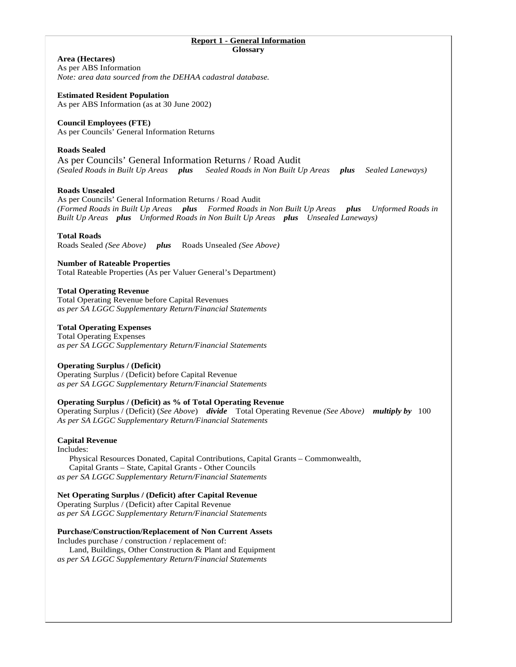| <b>Report 1 - General Information</b><br>Glossary                                                                                                                                                                                                                        |
|--------------------------------------------------------------------------------------------------------------------------------------------------------------------------------------------------------------------------------------------------------------------------|
| Area (Hectares)<br>As per ABS Information<br>Note: area data sourced from the DEHAA cadastral database.                                                                                                                                                                  |
| <b>Estimated Resident Population</b><br>As per ABS Information (as at 30 June 2002)                                                                                                                                                                                      |
| <b>Council Employees (FTE)</b><br>As per Councils' General Information Returns                                                                                                                                                                                           |
| <b>Roads Sealed</b><br>As per Councils' General Information Returns / Road Audit<br>(Sealed Roads in Built Up Areas plus<br>Sealed Roads in Non Built Up Areas plus<br>Sealed Laneways)                                                                                  |
| <b>Roads Unsealed</b><br>As per Councils' General Information Returns / Road Audit<br>(Formed Roads in Built Up Areas plus Formed Roads in Non Built Up Areas plus Unformed Roads in<br>Built Up Areas plus Unformed Roads in Non Built Up Areas plus Unsealed Laneways) |
| <b>Total Roads</b><br>Roads Sealed (See Above) plus Roads Unsealed (See Above)                                                                                                                                                                                           |
| <b>Number of Rateable Properties</b><br>Total Rateable Properties (As per Valuer General's Department)                                                                                                                                                                   |
| <b>Total Operating Revenue</b><br><b>Total Operating Revenue before Capital Revenues</b><br>as per SA LGGC Supplementary Return/Financial Statements                                                                                                                     |
| <b>Total Operating Expenses</b><br><b>Total Operating Expenses</b><br>as per SA LGGC Supplementary Return/Financial Statements                                                                                                                                           |
| <b>Operating Surplus / (Deficit)</b><br>Operating Surplus / (Deficit) before Capital Revenue<br>as per SA LGGC Supplementary Return/Financial Statements                                                                                                                 |
| <b>Operating Surplus / (Deficit) as % of Total Operating Revenue</b><br>Operating Surplus / (Deficit) (See Above) divide Total Operating Revenue (See Above) multiply by 100<br>As per SA LGGC Supplementary Return/Financial Statements                                 |
| <b>Capital Revenue</b><br>Includes:<br>Physical Resources Donated, Capital Contributions, Capital Grants - Commonwealth,<br>Capital Grants - State, Capital Grants - Other Councils<br>as per SA LGGC Supplementary Return/Financial Statements                          |
| Net Operating Surplus / (Deficit) after Capital Revenue<br>Operating Surplus / (Deficit) after Capital Revenue<br>as per SA LGGC Supplementary Return/Financial Statements                                                                                               |
| <b>Purchase/Construction/Replacement of Non Current Assets</b><br>Includes purchase / construction / replacement of:<br>Land, Buildings, Other Construction & Plant and Equipment<br>as per SA LGGC Supplementary Return/Financial Statements                            |
|                                                                                                                                                                                                                                                                          |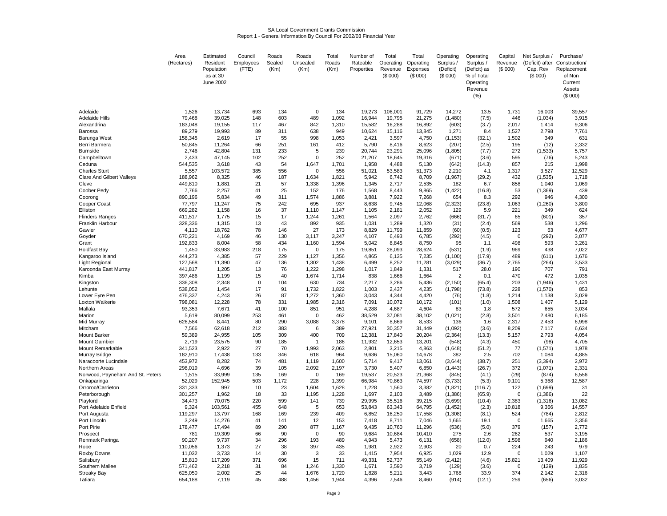# SA Local Government Grants Commission Report 1 - General Information By Council For 2002/03 Financial Year

|                                   | Area               | Estimated                    | Council     | Roads     | Roads              | Total          | Number of      | Total           | Total           | Operating             | Operating               | Capital      | Net Surplus /    | Purchase/                     |
|-----------------------------------|--------------------|------------------------------|-------------|-----------|--------------------|----------------|----------------|-----------------|-----------------|-----------------------|-------------------------|--------------|------------------|-------------------------------|
|                                   | (Hectares)         | Resident                     | Employees   | Sealed    | Unsealed           | Roads          | Rateable       | Operating       | Operating       | Surplus /             | Surplus /               | Revenue      |                  | (Deficit) after Construction/ |
|                                   |                    | Population                   | (FTE)       | (Km)      | (Km)               | (Km)           | Properties     | Revenue         | Expenses        | (Deficit)             | (Deficit) as            | (S 000)      | Cap. Rev         | Replacement                   |
|                                   |                    | as at 30<br><b>June 2002</b> |             |           |                    |                |                | (\$000)         | (\$000)         | (\$000)               | % of Total<br>Operating |              | (\$000)          | of Non<br>Current             |
|                                   |                    |                              |             |           |                    |                |                |                 |                 |                       | Revenue                 |              |                  | Assets                        |
|                                   |                    |                              |             |           |                    |                |                |                 |                 |                       | (% )                    |              |                  | (\$000)                       |
|                                   |                    |                              |             |           |                    |                |                |                 |                 |                       |                         |              |                  |                               |
| Adelaide                          | 1,526              | 13,734                       | 693         | 134       | $\mathbf 0$        | 134            | 19,273         | 106,001         | 91,729          | 14,272                | 13.5                    | 1,731        | 16,003           | 39,557                        |
| Adelaide Hills                    | 79,468             | 39,025                       | 148         | 603       | 489                | 1,092          | 16,944         | 19,795          | 21,275          | (1,480)               | (7.5)                   | 446          | (1,034)          | 3,915                         |
| Alexandrina                       | 183,048            | 19,155                       | 117         | 467       | 842                | 1,310          | 15,582         | 16,288          | 16,892          | (603)                 | (3.7)                   | 2,017        | 1,414            | 9,306                         |
| Barossa                           | 89,279             | 19,993                       | 89          | 311       | 638                | 949            | 10,624         | 15,116          | 13,845          | 1,271                 | 8.4                     | 1,527        | 2,798            | 7,761                         |
| Barunga West                      | 158,345            | 2,619                        | 17          | 55        | 998                | 1,053          | 2,421          | 3,597           | 4,750           | (1, 153)              | (32.1)                  | 1,502        | 349              | 631                           |
| Berri Barmera                     | 50,845             | 11,264                       | 66          | 251       | 161                | 412            | 5,790          | 8,416           | 8,623           | (207)                 | (2.5)                   | 195          | (12)             | 2,332                         |
| <b>Burnside</b>                   | 2,746              | 42,804                       | 131         | 233       | 5                  | 239            | 20,744         | 23,291          | 25,096          | (1,805)               | (7.7)                   | 272          | (1,533)          | 5,757                         |
| Campbelltown                      | 2,433              | 47,145                       | 102         | 252       | $\Omega$           | 252            | 21,207         | 18,645          | 19,316          | (671)                 | (3.6)                   | 595          | (76)             | 5,243                         |
| Ceduna                            | 544,535            | 3,618                        | 43          | 54        | 1,647              | 1,701          | 1,958          | 4,488           | 5,130           | (642)                 | (14.3)                  | 857          | 215              | 1,998                         |
| Charles Sturt                     | 5,557              | 103,572                      | 385         | 556       | $\Omega$           | 556            | 51,021         | 53,583          | 51,373          | 2,210                 | 4.1                     | 1,317        | 3,527            | 12,529                        |
| <b>Clare And Gilbert Valleys</b>  | 188,962            | 8,325                        | 46          | 187       | 1,634              | 1,821          | 5,942          | 6,742           | 8,709           | (1,967)               | (29.2)                  | 432          | (1,535)          | 1,718                         |
| Cleve                             | 449,810<br>7,766   | 1,881<br>2,257               | 21<br>41    | 57<br>25  | 1,338<br>152       | 1,396<br>176   | 1,345<br>1,568 | 2,717<br>8,443  | 2,535<br>9,865  | 182                   | 6.7                     | 858<br>53    | 1,040<br>(1,369) | 1,069<br>439                  |
| Coober Pedy<br>Coorona            | 890.196            | 5,834                        | 49          | 311       | 1,574              | 1,886          | 3,881          | 7,922           | 7,268           | (1, 422)<br>654       | (16.8)<br>8.3           | 292          | 946              | 4,300                         |
| Copper Coast                      | 77,797             | 11,247                       | 75          | 242       | 695                | 937            | 8,638          | 9,745           | 12,068          | (2, 323)              | (23.8)                  | 1,063        | (1,260)          | 3,800                         |
| Elliston                          | 669,282            | 1,158                        | 16          | 37        | 1,110              | 1.147          | 1,105          | 2,181           | 2,052           | 129                   | 5.9                     | 221          | 349              | 624                           |
| Flinders Ranges                   | 411,517            | 1,775                        | 15          | 17        | 1,244              | 1,261          | 1,564          | 2,097           | 2,762           | (666)                 | (31.7)                  | 65           | (601)            | 357                           |
| Franklin Harbour                  | 328,336            | 1,315                        | 13          | 43        | 892                | 935            | 1,031          | 1,289           | 1,320           | (31)                  | (2.4)                   | 569          | 538              | 1,296                         |
| Gawler                            | 4,110              | 18,762                       | 78          | 146       | 27                 | 173            | 8,829          | 11,799          | 11,859          | (60)                  | (0.5)                   | 123          | 63               | 4,677                         |
| Goyder                            | 670,221            | 4,169                        | 46          | 130       | 3,117              | 3,247          | 4,107          | 6,493           | 6,785           | (292)                 | (4.5)                   | $\mathbf 0$  | (292)            | 3,077                         |
| Grant                             | 192,833            | 8,004                        | 58          | 434       | 1,160              | 1,594          | 5,042          | 8,845           | 8,750           | 95                    | 1.1                     | 498          | 593              | 3,261                         |
| Holdfast Bay                      | 1,450              | 33,983                       | 218         | 175       | $\mathbf 0$        | 175            | 19,851         | 28,093          | 28,624          | (531)                 | (1.9)                   | 969          | 438              | 7,022                         |
| Kangaroo Island                   | 444,273            | 4,385                        | 57          | 229       | 1,127              | 1,356          | 4,865          | 6,135           | 7,235           | (1, 100)              | (17.9)                  | 489          | (611)            | 1,676                         |
| Light Regional                    | 127,568            | 11,390                       | 47          | 136       | 1,302              | 1,438          | 6,499          | 8,252           | 11,281          | (3,029)               | (36.7)                  | 2,765        | (264)            | 3,533                         |
| Karoonda East Murray<br>Kimba     | 441,817<br>397,486 | 1,205<br>1,199               | 13<br>15    | 76<br>40  | 1,222<br>1,674     | 1,298<br>1,714 | 1,017<br>838   | 1,849<br>1,666  | 1,331<br>1,664  | 517<br>$\overline{2}$ | 28.0<br>0.1             | 190<br>470   | 707<br>472       | 791<br>1,035                  |
| Kingston                          | 336,308            | 2,348                        | $\mathbf 0$ | 104       | 630                | 734            | 2,217          | 3,286           | 5,436           | (2, 150)              | (65.4)                  | 203          | (1,946)          | 1,431                         |
| Lehunte                           | 538,052            | 1,454                        | 17          | 91        | 1,732              | 1,822          | 1,003          | 2,437           | 4,235           | (1,798)               | (73.8)                  | 228          | (1,570)          | 853                           |
| Lower Eyre Pen                    | 476,337            | 4,243                        | 26          | 87        | 1,272              | 1,360          | 3,043          | 4,344           | 4,420           | (76)                  | (1.8)                   | 1,214        | 1,138            | 3,029                         |
| Loxton Waikerie                   | 798,081            | 12,228                       | 78          | 331       | 1,985              | 2,316          | 7,091          | 10,072          | 10,172          | (101)                 | (1.0)                   | 1,508        | 1,407            | 5,129                         |
| Mallala                           | 93,353             | 7,671                        | 41          | 100       | 851                | 951            | 4,288          | 4,687           | 4,604           | 83                    | 1.8                     | 572          | 655              | 3,034                         |
| Marion                            | 5,619              | 80,099                       | 253         | 461       | $\Omega$           | 462            | 38,529         | 37,081          | 38,102          | (1,021)               | (2.8)                   | 3,501        | 2,480            | 6,185                         |
| Mid Murray                        | 626.584            | 8,441                        | 80          | 290       | 3,088              | 3,378          | 9,101          | 8,669           | 8,533           | 136                   | 1.6                     | 2,317        | 2.453            | 6,998                         |
| Mitcham                           | 7,566              | 62,618                       | 212         | 383       | 6                  | 389            | 27,921         | 30,357          | 31,449          | (1,092)               | (3.6)                   | 8,209        | 7,117            | 6,634                         |
| <b>Mount Barker</b>               | 59,389             | 24,955                       | 105         | 309       | 400                | 709            | 12,381         | 17,840          | 20,204          | (2, 364)              | (13.3)                  | 5,157        | 2,793            | 4,054                         |
| Mount Gambier                     | 2,719              | 23,575                       | 90          | 185       | -1                 | 186            | 11,932         | 12,653          | 13,201          | (548)                 | (4.3)                   | 450          | (98)             | 4,705                         |
| Mount Remarkable<br>Murray Bridge | 341,523<br>182,910 | 2,922<br>17,438              | 27<br>133   | 70<br>346 | 1,993<br>618       | 2,063<br>964   | 2,801<br>9,636 | 3,215<br>15,060 | 4,863<br>14,678 | (1,648)<br>382        | (51.2)<br>2.5           | 77<br>702    | (1,571)<br>1,084 | 1,978<br>4,885                |
| Naracoorte Lucindale              | 453,972            | 8,282                        | 74          | 481       | 1,119              | 1,600          | 5,714          | 9,417           | 13,061          | (3,644)               | (38.7)                  | 251          | (3, 394)         | 2,972                         |
| Northern Areas                    | 298,019            | 4,696                        | 39          | 105       | 2,092              | 2,197          | 3,730          | 5,407           | 6,850           | (1, 443)              | (26.7)                  | 372          | (1,071)          | 2,331                         |
| Norwood, Payneham And St. Peters  | 1,515              | 33,999                       | 135         | 169       | 0                  | 169            | 19,537         | 20,523          | 21,368          | (845)                 | (4.1)                   | (29)         | (874)            | 6,556                         |
| Onkaparinga                       | 52,029             | 152,945                      | 503         | 1,172     | 228                | 1,399          | 66,984         | 70,863          | 74,597          | (3,733)               | (5.3)                   | 9,101        | 5,368            | 12,587                        |
| Orroroo/Carrieton                 | 331,333            | 997                          | 10          | 23        | 1,604              | 1,628          | 1,228          | 1,560           | 3,382           | (1,821)               | (116.7)                 | 122          | (1,699)          | 31                            |
| Peterborough                      | 301,257            | 1,962                        | 18          | 33        | 1,195              | 1,228          | 1,697          | 2,103           | 3,489           | (1, 386)              | (65.9)                  | $\mathbf 0$  | (1,386)          | 22                            |
| Playford                          | 34,473             | 70,075                       | 220         | 599       | 141                | 739            | 29,995         | 35,516          | 39,215          | (3,699)               | (10.4)                  | 2,383        | (1, 316)         | 13,082                        |
| Port Adelaide Enfield             | 9,324              | 103,561                      | 455         | 648       | 5                  | 653            | 53,843         | 63,343          | 64,795          | (1, 452)              | (2.3)                   | 10,818       | 9,366            | 14,557                        |
| Port Augusta                      | 119,297            | 13,797                       | 168         | 169       | 239                | 409            | 6,852          | 16,250          | 17,558          | (1, 308)              | (8.1)                   | 524          | (784)            | 2,812                         |
| Port Lincoln                      | 3,249              | 14,276                       | 41          | 141       | 12                 | 153            | 7,418          | 8,711           | 7,046           | 1,665                 | 19.1                    | $\Omega$     | 1,665            | 3,356                         |
| Port Pirie                        | 178,477            | 17,494                       | 89          | 290       | 877                | 1,167          | 9,435          | 10,760          | 11,296          | (536)                 | (5.0)                   | 379          | (157)            | 2,772                         |
| Prospect<br>Renmark Paringa       | 781<br>90,207      | 19.309<br>9,737              | 66<br>34    | 90<br>296 | $\mathbf 0$<br>193 | 90<br>489      | 9.684<br>4,943 | 10.684<br>5,473 | 10.410<br>6,131 | 275<br>(658)          | 2.6<br>(12.0)           | 262<br>1,598 | 537<br>940       | 3.195<br>2,186                |
| Robe                              | 110,056            | 1,373                        | 27          | 38        | 397                | 435            | 1,981          | 2,922           | 2,903           | 20                    | 0.7                     | 224          | 243              | 979                           |
| Roxby Downs                       | 11,032             | 3,733                        | 14          | 30        | 3                  | 33             | 1,415          | 7,954           | 6,925           | 1,029                 | 12.9                    | $\mathbf 0$  | 1,029            | 1,107                         |
| Salisbury                         | 15,810             | 117,209                      | 371         | 696       | 15                 | 711            | 49,331         | 52,737          | 55,149          | (2, 412)              | (4.6)                   | 15,821       | 13,409           | 11,929                        |
| Southern Mallee                   | 571,462            | 2,218                        | 31          | 84        | 1,246              | 1,330          | 1,671          | 3,590           | 3,719           | (129)                 | (3.6)                   | $\Omega$     | (129)            | 1,835                         |
| <b>Streaky Bay</b>                | 625,050            | 2,002                        | 25          | 44        | 1,676              | 1,720          | 1,828          | 5,211           | 3,443           | 1,768                 | 33.9                    | 374          | 2,142            | 2,316                         |
| Tatiara                           | 654,188            | 7,119                        | 45          | 488       | 1,456              | 1,944          | 4,396          | 7,546           | 8,460           | (914)                 | (12.1)                  | 259          | (656)            | 3,032                         |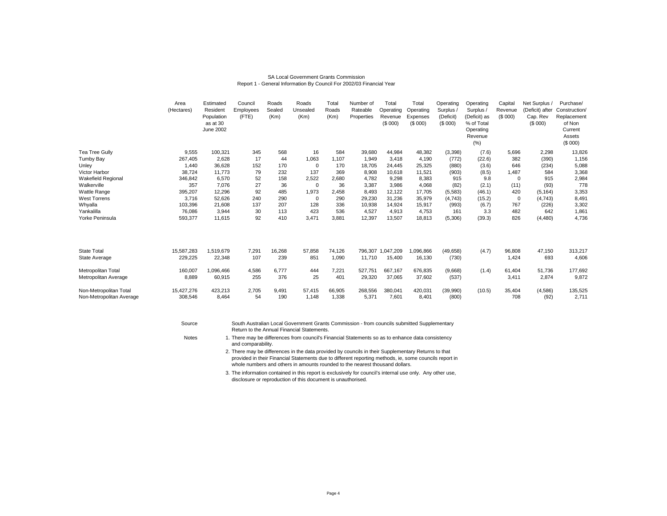#### SA Local Government Grants CommissionReport 1 - General Information By Council For 2002/03 Financial Year

|                                                    | Area<br>(Hectares)    | Estimated<br>Resident<br>Population<br>as at 30<br><b>June 2002</b> | Council<br>Employees<br>(FTE) | Roads<br>Sealed<br>(Km) | Roads<br>Unsealed<br>(Km) | Total<br>Roads<br>(Km) | Number of<br>Rateable<br>Properties | Total<br>Operating<br>Revenue<br>(S 000) | Total<br>Operating<br>Expenses<br>(S 000) | Operating<br>Surplus<br>(Deficit)<br>(S 000) | Operating<br>Surplus /<br>(Deficit) as<br>% of Total<br>Operating<br>Revenue<br>(% ) | Capital<br>Revenue<br>(\$000) | Net Surplus<br>(Deficit) after<br>Cap. Rev<br>(\$000) | Purchase/<br>Construction/<br>Replacement<br>of Non<br>Current<br>Assets<br>(\$000) |
|----------------------------------------------------|-----------------------|---------------------------------------------------------------------|-------------------------------|-------------------------|---------------------------|------------------------|-------------------------------------|------------------------------------------|-------------------------------------------|----------------------------------------------|--------------------------------------------------------------------------------------|-------------------------------|-------------------------------------------------------|-------------------------------------------------------------------------------------|
| Tea Tree Gully                                     | 9,555                 | 100,321                                                             | 345                           | 568                     | 16                        | 584                    | 39.680                              | 44,984                                   | 48,382                                    | (3,398)                                      | (7.6)                                                                                | 5,696                         | 2,298                                                 | 13,826                                                                              |
| <b>Tumby Bay</b>                                   | 267,405               | 2,628                                                               | 17                            | 44                      | 1,063                     | 1,107                  | 1.949                               | 3.418                                    | 4,190                                     | (772)                                        | (22.6)                                                                               | 382                           | (390)                                                 | 1,156                                                                               |
| Unley                                              | 1,440                 | 36,628                                                              | 152                           | 170                     | 0                         | 170                    | 18,705                              | 24,445                                   | 25,325                                    | (880)                                        | (3.6)                                                                                | 646                           | (234)                                                 | 5,088                                                                               |
| Victor Harbor                                      | 38,724                | 11,773                                                              | 79                            | 232                     | 137                       | 369                    | 8,908                               | 10,618                                   | 11,521                                    | (903)                                        | (8.5)                                                                                | 1,487                         | 584                                                   | 3,368                                                                               |
| <b>Wakefield Regional</b>                          | 346,842               | 6,570                                                               | 52                            | 158                     | 2,522                     | 2,680                  | 4.782                               | 9,298                                    | 8,383                                     | 915                                          | 9.8                                                                                  | $\mathbf 0$                   | 915                                                   | 2,984                                                                               |
| Walkerville                                        | 357                   | 7,076                                                               | 27                            | 36                      | 0                         | 36                     | 3,387                               | 3,986                                    | 4,068                                     | (82)                                         | (2.1)                                                                                | (11)                          | (93)                                                  | 778                                                                                 |
| Wattle Range                                       | 395,207               | 12,296                                                              | 92                            | 485                     | 1,973                     | 2,458                  | 8.493                               | 12.122                                   | 17,705                                    | (5,583)                                      | (46.1)                                                                               | 420                           | (5, 164)                                              | 3,353                                                                               |
| <b>West Torrens</b>                                | 3,716                 | 52,626                                                              | 240                           | 290                     | 0                         | 290                    | 29,230                              | 31,236                                   | 35,979                                    | (4,743)                                      | (15.2)                                                                               | $\mathbf 0$                   | (4,743)                                               | 8,491                                                                               |
| Whyalla                                            | 103,396               | 21,608                                                              | 137                           | 207                     | 128                       | 336                    | 10,938                              | 14,924                                   | 15,917                                    | (993)                                        | (6.7)                                                                                | 767                           | (226)                                                 | 3,302                                                                               |
| Yankalilla                                         | 76,086                | 3,944                                                               | 30                            | 113                     | 423                       | 536                    | 4,527                               | 4,913                                    | 4,753                                     | 161                                          | 3.3                                                                                  | 482                           | 642                                                   | 1,861                                                                               |
| Yorke Peninsula                                    | 593,377               | 11,615                                                              | 92                            | 410                     | 3,471                     | 3,881                  | 12,397                              | 13,507                                   | 18,813                                    | (5,306)                                      | (39.3)                                                                               | 826                           | (4,480)                                               | 4,736                                                                               |
| <b>State Total</b>                                 | 15,587,283            | 1,519,679                                                           | 7,291                         | 16,268                  | 57,858                    | 74,126                 | 796.307                             | ,047,209                                 | 1,096,866                                 | (49, 658)                                    | (4.7)                                                                                | 96,808                        | 47,150                                                | 313,217                                                                             |
| State Average                                      | 229,225               | 22,348                                                              | 107                           | 239                     | 851                       | 1,090                  | 11,710                              | 15,400                                   | 16,130                                    | (730)                                        |                                                                                      | 1,424                         | 693                                                   | 4,606                                                                               |
| Metropolitan Total<br>Metropolitan Average         | 160,007<br>8,889      | 1,096,466<br>60,915                                                 | 4,586<br>255                  | 6.777<br>376            | 444<br>25                 | 7,221<br>401           | 527.751<br>29,320                   | 667.167<br>37,065                        | 676,835<br>37,602                         | (9,668)<br>(537)                             | (1.4)                                                                                | 61.404<br>3,411               | 51,736<br>2,874                                       | 177,692<br>9,872                                                                    |
| Non-Metropolitan Total<br>Non-Metropolitan Average | 15,427,276<br>308,546 | 423,213<br>8,464                                                    | 2,705<br>54                   | 9,491<br>190            | 57,415<br>1,148           | 66,905<br>1,338        | 268,556<br>5,371                    | 380,041<br>7,601                         | 420,031<br>8,401                          | (39,990)<br>(800)                            | (10.5)                                                                               | 35,404<br>708                 | (4,586)<br>(92)                                       | 135,525<br>2,711                                                                    |

South Australian Local Government Grants Commission - from councils submitted Supplementary Return to the Annual Financial Statements.

**Notes** 

Source

 There may be differences from council's Financial Statements so as to enhance data consistency and comparability.

2. There may be differences in the data provided by councils in their Supplementary Returns to that provided in their Financial Statements due to different reporting methods, ie, some councils report inwhole numbers and others in amounts rounded to the nearest thousand dollars.

3.The information contained in this report is exclusively for council's internal use only. Any other use, disclosure or reproduction of this document is unauthorised.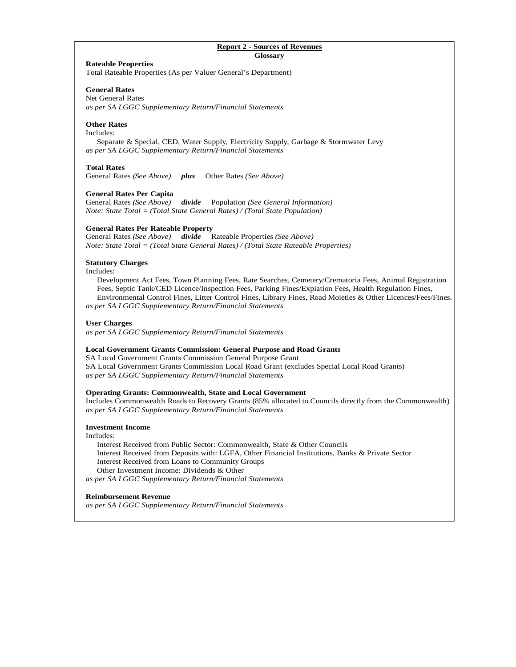### **Report 2 - Sources of Revenues Glossary**

# **Rateable Properties**

Total Rateable Properties (As per Valuer General's Department)

# **General Rates**

Net General Rates *as per SA LGGC Supplementary Return/Financial Statements* 

# **Other Rates**

Includes:

 Separate & Special, CED, Water Supply, Electricity Supply, Garbage & Stormwater Levy *as per SA LGGC Supplementary Return/Financial Statements* 

# **Total Rates**

General Rates *(See Above) plus* Other Rates *(See Above)* 

# **General Rates Per Capita**

General Rates *(See Above) divide* Population *(See General Information) Note: State Total = (Total State General Rates) / (Total State Population)* 

# **General Rates Per Rateable Property**

General Rates *(See Above) divide* Rateable Properties *(See Above) Note: State Total = (Total State General Rates) / (Total State Rateable Properties)* 

# **Statutory Charges**

Includes:

 Development Act Fees, Town Planning Fees, Rate Searches, Cemetery/Crematoria Fees, Animal Registration Fees, Septic Tank/CED Licence/Inspection Fees, Parking Fines/Expiation Fees, Health Regulation Fines, Environmental Control Fines, Litter Control Fines, Library Fines, Road Moieties & Other Licences/Fees/Fines. *as per SA LGGC Supplementary Return/Financial Statements* 

### **User Charges**

*as per SA LGGC Supplementary Return/Financial Statements* 

### **Local Government Grants Commission: General Purpose and Road Grants**

SA Local Government Grants Commission General Purpose Grant SA Local Government Grants Commission Local Road Grant (excludes Special Local Road Grants) *as per SA LGGC Supplementary Return/Financial Statements* 

### **Operating Grants: Commonwealth, State and Local Government**

Includes Commonwealth Roads to Recovery Grants (85% allocated to Councils directly from the Commonwealth) *as per SA LGGC Supplementary Return/Financial Statements* 

# **Investment Income**

Includes:

 Interest Received from Public Sector: Commonwealth, State & Other Councils Interest Received from Deposits with: LGFA, Other Financial Institutions, Banks & Private Sector Interest Received from Loans to Community Groups Other Investment Income: Dividends & Other

*as per SA LGGC Supplementary Return/Financial Statements* 

### **Reimbursement Revenue**

*as per SA LGGC Supplementary Return/Financial Statements*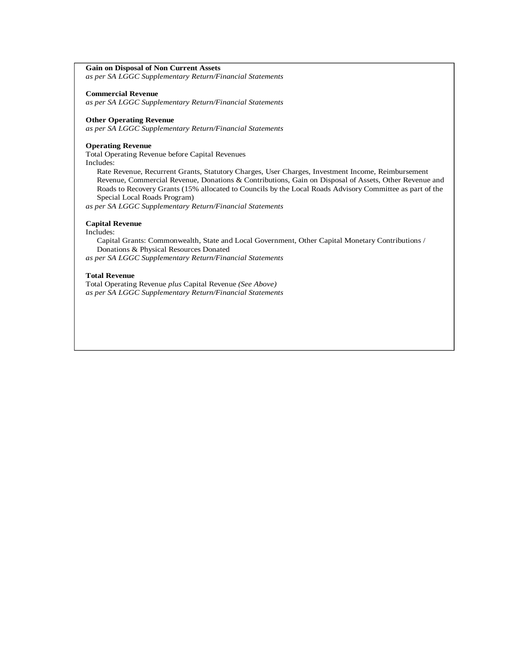# **Gain on Disposal of Non Current Assets**

*as per SA LGGC Supplementary Return/Financial Statements*

### **Commercial Revenue**

*as per SA LGGC Supplementary Return/Financial Statements*

# **Other Operating Revenue**

*as per SA LGGC Supplementary Return/Financial Statements* 

#### **Operating Revenue**

Total Operating Revenue before Capital Revenues Includes:

 Rate Revenue, Recurrent Grants, Statutory Charges, User Charges, Investment Income, Reimbursement Revenue, Commercial Revenue, Donations & Contributions, Gain on Disposal of Assets, Other Revenue and Roads to Recovery Grants (15% allocated to Councils by the Local Roads Advisory Committee as part of the Special Local Roads Program)

*as per SA LGGC Supplementary Return/Financial Statements* 

### **Capital Revenue**

Includes:

 Capital Grants: Commonwealth, State and Local Government, Other Capital Monetary Contributions / Donations & Physical Resources Donated

*as per SA LGGC Supplementary Return/Financial Statements* 

### **Total Revenue**

Total Operating Revenue *plus* Capital Revenue *(See Above) as per SA LGGC Supplementary Return/Financial Statements*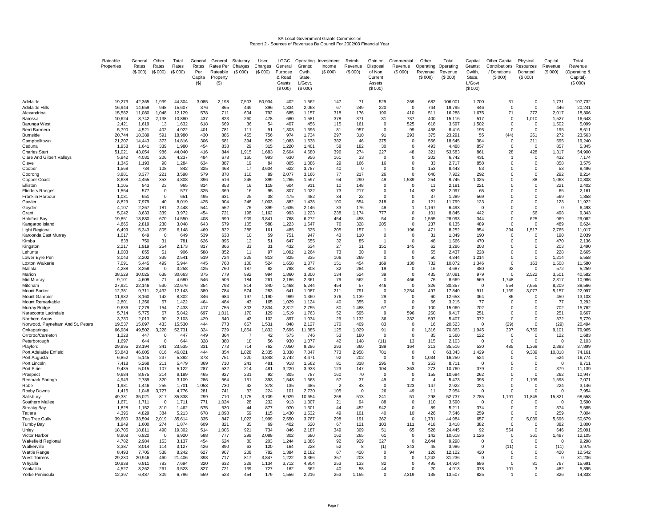# SA Local Government Grants Commission Report 2 - Sources of Revenues By Council For 2002/03 Financial Year

|                                        | Rateable        | General          | Other                 | Total            | General      | General               | Statutory               | User               | LGGC               | Operating        | Investment        | Reimb.             | Gain on                    | Commercial                 | Other                | Total                | Capital           | Other Capital                          | Physical                | Capital               | Total                   |
|----------------------------------------|-----------------|------------------|-----------------------|------------------|--------------|-----------------------|-------------------------|--------------------|--------------------|------------------|-------------------|--------------------|----------------------------|----------------------------|----------------------|----------------------|-------------------|----------------------------------------|-------------------------|-----------------------|-------------------------|
|                                        | Properties      | Rates<br>(\$000) | Rates<br>(\$000)      | Rates<br>(S 000) | Rates<br>Per | Rates Per<br>Rateable | Charges<br>(S 000)      | Charges<br>(S 000) | General<br>Purpose | Grants:<br>Cwth, | Income<br>(S 000) | Revenue<br>(S 000) | Disposal<br>of Non         | Revenue<br>(S 000)         | Operating<br>Revenue | Operating<br>Revenue | Grants:<br>Cwlth, | Contributions Resources<br>/ Donations | Donated                 | Revenue<br>(\$000)    | Revenue<br>(Operating & |
|                                        |                 |                  |                       |                  | Capita       | Property              |                         |                    | & Road             | State,           |                   |                    | Current                    |                            | (S 000)              | (S 000)              | State,            | (S 000)                                | (S 000)                 |                       | Capital)                |
|                                        |                 |                  |                       |                  | $($ \$)      | (S)                   |                         |                    | Grants             | L/Govt.          |                   |                    | Assets                     |                            |                      |                      | L/Govt            |                                        |                         |                       | (\$000)                 |
|                                        |                 |                  |                       |                  |              |                       |                         |                    | (\$000)            | (\$000)          |                   |                    | (\$000)                    |                            |                      |                      | (\$000)           |                                        |                         |                       |                         |
| Adelaide                               | 19.273          | 42.365           | 1.939                 | 44.304           |              |                       |                         |                    | 402                | 1.562            | 147               | 71                 | 529                        |                            | 682                  |                      |                   | 31                                     |                         |                       | 107.732                 |
| Adelaide Hills                         | 16.944          | 14.659           | 948                   | 15.607           | 3,085<br>376 | 2,198<br>865          | 7,503<br>449            | 50,934<br>396      | 1.334              | 2.063            | 67                | 249                | 220                        | 269<br>$\Omega$            | 744                  | 106,001<br>19,795    | 1,700<br>446      | $\Omega$                               | $\mathbf 0$<br>$\Omega$ | 1,731<br>446          | 20,241                  |
| Alexandrina                            | 15,582          | 11,080           | 1.048                 | 12,129           | 578          | 711                   | 604                     | 792                | 685                | 1,157            | 318               | 176                | 190                        | 410                        | 511                  | 16,288               | 1,675             | 71                                     | 272                     | 2,017                 | 18,306                  |
| Barossa                                | 10.624          | 8.742            | 2.138                 | 10,880           | 437          | 823                   | 260                     | 478                | 680                | 1.581            | 378               | 371                | 31                         | 737                        | 400                  | 15.116               | 517               | $\Omega$                               | 1,010                   | 1.527                 | 16,643                  |
| Barunga West                           | 2.421           | 1,619            | 13                    | 1,632            | 618          | 669                   | 36                      | 54                 | 407                | 456              | 115               | 161                | $\Omega$                   | 525                        | 618                  | 3,597                | 1,502             | $\Omega$                               | $\Omega$                | 1,502                 | 5,099                   |
| Berri Barmera<br>Burnside              | 5,790<br>20,744 | 4,521<br>18,389  | 402<br>591            | 4,922<br>18,980  | 401<br>430   | 781<br>886            | 111<br>455              | 91<br>756          | 1,303<br>974       | 1.696<br>1,734   | 81<br>297         | 957<br>310         | $\Omega$<br>91             | 99<br>293                  | 458<br>375           | 8,416<br>23,291      | 195<br>55         | $\Omega$<br>(44)                       | $\Omega$<br>261         | 195<br>272            | 8,611<br>23,563         |
| Campbelltown                           | 21.207          | 14.443           | 373                   | 14.816           | 306          | 681                   | 394                     | 529                | 1.083              | 1.538            | 382               | 46                 | 375                        | $\Omega$                   | 566                  | 18.645               | 384               | $\Omega$                               | 211                     | 595                   | 19.240                  |
| Ceduna                                 | 1,958           | 1,641            | 339                   | 1,980            | 454          | 838                   | 29                      | 315                | 1,220              | 1,401            | 58                | 182                | 30                         | $\Omega$                   | 493                  | 4,488                | 857               | $\Omega$                               | $\Omega$                | 857                   | 5,345                   |
| <b>Charles Sturt</b>                   | 51,021          | 43,054           | 986                   | 44,040           | 416          | 844                   | 1,915                   | 1,683              | 2,604              | 4,680            | 396               | 274                | 227                        | 48                         | 321                  | 53,583               | 861               | 28                                     | 428                     | 1,317                 | 54,900                  |
| <b>Clare And Gilbert Valleys</b>       | 5.942           | 4.031            | 206                   | 4.237            | 484          | 678                   | 160                     | 993                | 630                | 956              | 161               | 33                 | $\Omega$                   | $\Omega$                   | 202                  | 6.742                | 431               | $\overline{1}$                         | $\Omega$                | 432                   | 7.174                   |
| Cleve<br>Coober                        | 1,345<br>1,568  | 1,193<br>734     | 90<br>108             | 1,284<br>842     | 634<br>325   | 887<br>468            | 19<br>17                | 84<br>3,604        | 805<br>622         | 1,086<br>3,787   | 29<br>40          | 166<br>$\Omega$    | 16<br>$\Omega$             | $\mathbf 0$<br>$\mathbf 0$ | 33<br>153            | 2,717<br>8,443       | 858<br>53         | $\Omega$<br>$\Omega$                   | $\Omega$<br>$\Omega$    | 858<br>53             | 3,575<br>8,496          |
| Coorong                                | 3,881           | 3,377            | 221                   | 3,598            | 579          | 870                   | 110                     | 89                 | 2,077              | 3,166            | 77                | 217                | 26                         | $\Omega$                   | 640                  | 7,922                | 292               | $\Omega$                               | $\Omega$                | 292                   | 8,214                   |
| Copper Coast                           | 8,638           | 4,455            | 353                   | 4,808            | 396          | 516                   | 245                     | 899                | 1,265              | 1,597            | 64                | 290                | 49                         | 1,539                      | 254                  | 9,745                | 1,025             | $\Omega$                               | 38                      | 1,063                 | 10,808                  |
| Elliston                               | 1,105           | 943              | 23                    | 965              | 814          | 853                   | 16                      | 119                | 604                | 911              | 10                | 148                | $^{\circ}$                 | $\Omega$                   | 11                   | 2,181                | 221               | $\Omega$                               | $\Omega$                | 221                   | 2,402                   |
| Flinders Ranges                        | 1,564           | 577              | 0                     | 577              | 325          | 369                   | 16                      | 95                 | 807                | 1,022            | 73                | 217                | $\Omega$                   | 14                         | 82                   | 2,097                | 65                | $\Omega$                               | $\Omega$                | 65                    | 2,161                   |
| Franklin Harbour<br>Gawlei             | 1,031<br>8,829  | 651<br>7,979     | $\Omega$<br>40        | 651<br>8,019     | 495<br>425   | 631<br>904            | 25<br>246               | 38<br>1,003        | 475<br>882         | 482<br>1,438     | 34<br>100         | 22<br>554          | $\Omega$<br>318            | $\Omega$<br>$\mathbf 0$    | 37<br>121            | 1,289<br>11,799      | 569<br>123        | $\Omega$<br>$\Omega$                   | $\Omega$<br>$\mathbf 0$ | 569<br>123            | 1,858<br>11,922         |
| Goyder                                 | 4,107           | 2,267            | 181                   | 2,448            | 544          | 552                   | 76                      | 399                | 1,635              | 2,146            | 33                | 176                | 48                         | $\mathbf{1}$               | 1,167                | 6,493                | 0                 | $\mathbf 0$                            | $\mathbf 0$             | $\mathbf 0$           | 6,493                   |
| Grant                                  | 5,042           | 3,633            | 339                   | 3,972            | 454          | 721                   | 198                     | 1,162              | 993                | 1,223            | 238               | 1,174              | 777                        | $\Omega$                   | 101                  | 8,845                | 442               | $\Omega$                               | 56                      | 498                   | 9,343                   |
| Holdfast Bay                           | 19,851          | 13,880           | 670                   | 14,550           | 408          | 699                   | 909                     | 3,841              | 768                | 6,272            | 454               | 458                | 54                         | $\mathbf 0$                | 1,555                | 28,093               | 344               | $\mathbf 0$                            | 625                     | 969                   | 29,062                  |
| Kangaroo Island                        | 4,865           | 2,819            | 230                   | 3,048            | 643          | 579                   | 105                     | 588                | 1,223              | 1,547            | 76                | 328                | 205                        | $\mathbf 0$                | 237                  | 6,135                | 489               | $\Omega$                               | $\mathbf 0$             | 489                   | 6,624                   |
| Light Regional<br>Karoonda East Murray | 6,499<br>1,017  | 5,343<br>649     | 805<br>$\overline{0}$ | 6,148<br>649     | 469<br>539   | 822<br>638            | 288<br>10               | 161<br>59          | 485<br>751         | 625<br>947       | 205<br>43         | 157<br>110         | $\overline{1}$<br>$\Omega$ | 196<br>$\mathbf 0$         | 471<br>31            | 8,252<br>1,849       | 954<br>190        | 294<br>$\Omega$                        | 1,517<br>$\Omega$       | 2,765<br>190          | 11,017<br>2,039         |
| Kimba                                  | 838             | 750              | 31                    | 781              | 626          | 895                   | 12                      | 51                 | 647                | 655              | 32                | 85                 |                            | $\mathbf 0$                | 48                   | 1,666                | 470               | $\mathbf 0$                            | $\mathbf 0$             | 470                   | 2,136                   |
| Kingston                               | 2,217           | 1,919            | 254                   | 2,173            | 817          | 866                   | 33                      | 31                 | 432                | 634              | 27                | 31                 | 151                        | 145                        | 62                   | 3,286                | 203               | $\Omega$                               | $\Omega$                | 203                   | 3,490                   |
| Lehunte                                | 1,003           | 855              | 51                    | 906              | 588          | 852                   | 11                      | 97                 | 1,092              | 1,264            | 73                | 30                 | $\Omega$                   | $\mathbf 0$                | 55                   | 2,437                | 228               | $\Omega$                               | $\Omega$                | 228                   | 2,665                   |
| Lower Eyre Pen                         | 3,043           | 2,202            | 339                   | 2,541            | 519          | 724                   | 229                     | 813                | 325                | 335              | 106               | 269                | $\Omega$                   | $\Omega$                   | 50                   | 4,344                | 1,214             | $\Omega$                               | $\Omega$                | 1,214                 | 5,558                   |
| Loxton Waikerie<br>Mallala             | 7,091<br>4,288  | 5,445<br>3,258   | 499<br>$\Omega$       | 5,944<br>3,258   | 445<br>425   | 768<br>760            | 108<br>187              | 524<br>82          | 1,658<br>788       | 1,877<br>808     | 151<br>32         | 454<br>284         | 169<br>19                  | 130<br>$\mathbf 0$         | 732<br>16            | 10,072<br>4,687      | 1,346<br>480      | 0<br>92                                | 163<br>$\Omega$         | 1,508<br>572          | 11,580<br>5,259         |
| Marion                                 | 38,529          | 30,025           | 638                   | 30,663           | 375          | 779                   | 992                     | 994                | 1,860              | 3,300            | 134               | 524                | 39                         | $\Omega$                   | 435                  | 37,081               | 979               | $\Omega$                               | 2,522                   | 3,501                 | 40,582                  |
| Mid Murray                             | 9,101           | 4,609            | 71                    | 4,680            | 546          | 506                   | 184                     | 261                | 2,186              | 2,361            | 79                | 562                | $\Omega$                   | 466                        | 76                   | 8,669                | 569               | 1,748                                  | $\overline{0}$          | 2,317                 | 10,986                  |
| Mitcham                                | 27,921          | 22,146           | 530                   | 22,676           | 354          | 793                   | 814                     | 340                | 1,468              | 5,244            | 454               | 57                 | 446                        | $\Omega$                   | 326                  | 30,357               | $\Omega$          | 554                                    | 7,655                   | 8.209                 | 38,566                  |
| Mount Barke                            | 12,381          | 9,711            | 2,432                 | 12,143           | 389          | 784                   | 574                     | 283                | 641                | 1,087            | 211               | 791                | $\Omega$                   | 2,254                      | 497                  | 17,840               | 911               | 1,169                                  | 3,077                   | 5,157                 | 22,997                  |
| Mount Gambier<br>Mount Remarkable      | 11,932<br>2,801 | 8,160<br>1,356   | 142<br>67             | 8,302<br>1,422   | 346<br>464   | 684<br>484            | 197<br>43               | 1,190<br>165       | 989<br>1,029       | 1,360<br>1.124   | 376<br>40         | 1,139<br>355       | 29<br>$\Omega$             | $^{\circ}$<br>$\Omega$     | 60<br>66             | 12,653<br>3,215      | 364<br>77         | 86<br>$\Omega$                         | $\Omega$<br>$\Omega$    | 450<br>77             | 13,103<br>3,292         |
| Murrav Bridge                          | 9,636           | 7,279            | 154                   | 7,433            | 417          | 755                   | 303                     | 2,834              | 2,312              | 2,755            | 80                | 1,488              | 67                         | $\Omega$                   | 100                  | 15,060               | 702               | $\Omega$                               | $\Omega$                | 702                   | 15,762                  |
| Naracoorte Lucindale                   | 5,714           | 5,775            | 67                    | 5,842            | 697          | 1,011                 | 170                     | 129                | 1,519              | 1,763            | 52                | 595                | -9                         | 596                        | 260                  | 9,417                | 251               | $\Omega$                               | $\Omega$                | 251                   | 9,667                   |
| Northern Areas                         | 3,730           | 2,013            | 90                    | 2,103            | 429          | 540                   | 42                      | 102                | 897                | 1,034            | 29                | 1,132              | 36                         | 332                        | 597                  | 5,407                | 372               | $\Omega$                               | $\Omega$                | 372                   | 5,779                   |
| Norwood, Payneham And St. Peters       | 19,537          | 15,097           | 433                   | 15,530           | 444          | 773                   | 657                     | 1,531              | 848                | 2.127            | 170               | 409                | 83                         | $\mathbf 0$                | 16                   | 20,523               | $\Omega$          | (29)                                   | $\Omega$                | (29)                  | 20,494                  |
| Onkaparinga<br>Orroroo/Carrieton       | 66,984<br>1,228 | 49,502<br>447    | 3,228<br>$\Omega$     | 52,731<br>447    | 324<br>449   | 739<br>364            | 1,854<br>$\overline{7}$ | 1,832<br>42        | 7,696<br>575       | 11,885<br>746    | 125<br>53         | 1,029<br>180       | 91<br>$\Omega$             | $\Omega$<br>$\Omega$       | 1,316<br>85          | 70,863<br>1,560      | 1,945<br>122      | 397<br>$\Omega$                        | 6,759<br>$\Omega$       | 9,101<br>122          | 79,965<br>1,683         |
| Peterborough                           | 1.697           | 644              | $\mathbf 0$           | 644              | 328          | 380                   | 18                      | 56                 | 930                | 1.077            | 42                | 148                | (11)                       | 13                         | 115                  | 2.103                | $\Omega$          | $\mathbf 0$                            | $\Omega$                | $\overline{0}$        | 2,103                   |
| Plavford                               | 29,995          | 23.194           | 341                   | 23,535           | 331          | 773                   | 714                     | 762                | 7,050              | 9.286            | 293               | 360                | 189                        | 164                        | 213                  | 35,516               | 530               | 485                                    | 1,368                   | 2.383                 | 37,899                  |
| Port Adelaide Enfield                  | 53,843          | 46.005           | 816                   | 46,821           | 444          | 854                   | 1,828                   | 2.335              | 3,338              | 7.847            | 773               | 2,958              | 781                        | $\mathbf 0$                | $\Omega$             | 63,343               | 1,429             | $\Omega$                               | 9,389                   | 10,818                | 74,161                  |
| Port Augusta<br>Port Lincolr           | 6.852<br>7.418  | 5.145<br>5.268   | 237<br>211            | 5.382<br>5.479   | 373<br>369   | 751<br>710            | 220<br>241              | 4.848<br>481       | 2.742<br>918       | 4.471<br>1.562   | 92<br>81          | 202<br>318         | $\Omega$<br>295            | $\Omega$<br>$\mathbf 0$    | 1.034<br>253         | 16.250<br>8.711      | 524<br>$\Omega$   | $\Omega$<br>$\Omega$                   | $\mathbf 0$<br>$\Omega$ | 524<br>$\overline{0}$ | 16,774<br>8.711         |
| Port Pirie                             | 9,435           | 5,015            | 107                   | 5,122            | 287          | 532                   | 214                     | 481                | 3,220              | 3,933            | 123               | 147                | 104                        | 363                        | 273                  | 10,760               | 379               | $\Omega$                               | $\Omega$                | 379                   | 11,139                  |
| Prospect                               | 9,684           | 8,975            | 214                   | 9,189            | 465          | 927                   | 231                     | 92                 | 305                | 787              | 160               | 70                 | $\Omega$                   | $\mathbf 0$                | 155                  | 10,684               | 262               | $\Omega$                               | $\Omega$                | 262                   | 10,947                  |
| Renmark Paringa                        | 4.943           | 2.789            | 320                   | 3.109            | 286          | 564                   | 151                     | 393                | 1.543              | 1.663            | 67                | 37                 | 49                         | $\mathbf 0$                | $\overline{4}$       | 5.473                | 398               | $\Omega$                               | 1,199                   | 1.598                 | 7.071                   |
| Robe                                   | 1,981           | 1,446            | 255                   | 1,701            | 1,053        | 730                   | 42                      | 378                | 135                | 485              | $\overline{2}$    | 43                 | $\Omega$                   | 123                        | 147                  | 2,922                | 224               | $\Omega$                               | $\Omega$                | 224                   | 3,146                   |
| Roxby Downs<br>Salisbury               | 1,415<br>49,331 | 1,048<br>35,021  | 3,727<br>817          | 4,776<br>35,838  | 281<br>299   | 741<br>710            | 33<br>1,175             | 224<br>3,709       | 101<br>8,929       | 2,730<br>10,654  | 105<br>258        | $\Omega$<br>513    | 26<br>241                  | 49<br>51                   | 11<br>298            | 7,954<br>52,737      | $\Omega$<br>2,785 | $\Omega$<br>1,191                      | $\Omega$<br>11,845      | $\Omega$<br>15,821    | 7,954<br>68,558         |
| Southern Mallee                        | 1,671           | 1,711            | $\mathbf 0$           | 1,711            | 771          | 1,024                 | 28                      | 232                | 913                | 1,307            | 21                | 94                 | 88                         | $\Omega$                   | 110                  | 3,590                | $\Omega$          | $\Omega$                               | $\Omega$                | $\Omega$              | 3,590                   |
| Streaky Bay                            | 1,828           | 1,152            | 310                   | 1,462            | 575          | 630                   | 44                      | 877                | 970                | 1,301            | 44                | 452                | 942                        | $\mathbf 0$                | 89                   | 5,211                | 374               | $\Omega$                               | $\Omega$                | 374                   | 5,585                   |
| Tatiara                                | 4,396           | 4,829            | 384                   | 5,213            | 678          | 1,098                 | 59                      | 115                | 1,430              | 1,532            | 49                | 101                | 40                         | 10                         | 426                  | 7,546                | 259               | $\Omega$                               | $\Omega$                | 259                   | 7,804                   |
| <b>Tea Tree Gully</b>                  | 39,680          | 33,594           | 2,019                 | 35,614           | 335          | 847                   | 1,022                   | 1,999              | 2,550              | 3,767            | 298               | 191                | 362                        | $\Omega$                   | 1,731                | 44,984               | 657               | $\Omega$                               | 5,039                   | 5,696                 | 50,679                  |
| Tumby Bay                              | 1,949<br>18,705 | 1,600<br>18,811  | 274<br>490            | 1,874<br>19,302  | 609<br>514   | 821<br>1,006          | 35<br>921               | 69<br>734          | 402<br>846         | 620<br>2,187     | 67<br>349         | 121<br>309         | 103<br>51                  | 111<br>65                  | 418<br>528           | 3,418<br>24,445      | 382<br>92         | 0<br>554                               | $^{\circ}$<br>$\Omega$  | 382<br>646            | 3,800<br>25,091         |
| Unley<br>Victor Harbor                 | 8,908           | 6,920            | $\mathbf 0$           | 6,920            | 588          | 777                   | 299                     | 2,089              | 302                | 680              | 162               | 265                | 61                         | $\Omega$                   | 142                  | 10,618               | 1,126             | $\Omega$                               | 361                     | 1,487                 | 12,105                  |
| Wakefield Regional                     | 4,782           | 2,984            | 153                   | 3,137            | 454          | 624                   | 80                      | 203                | 1,244              | 1,886            | 92                | 929                | 327                        | $^{\circ}$                 | 2,644                | 9,298                | 0                 | 0                                      | $^{\circ}$              | $\mathbf 0$           | 9,298                   |
| Walkerville                            | 3,387           | 3,014            | 114                   | 3,127            | 426          | 890                   | 63                      | 120                | 164                | 228              | 52                | -8                 | (1)                        | 343                        | 45                   | 3,986                | 0                 | (11)                                   | $^{\circ}$              | (11)                  | 3,975                   |
| Wattle Range                           | 8,493           | 7,705            | 538                   | 8,242            | 627          | 907                   | 208                     | 782                | 1,384              | 2,182            | 67                | 420                | $\Omega$                   | 94                         | 126                  | 12,122               | 420               | $\Omega$                               | $\Omega$                | 420                   | 12,542                  |
| West Torrens                           | 29,230          | 20,946           | 460                   | 21,406           | 398          | 717                   | 817                     | 3,847              | 1,222              | 3,366            | 357               | 203                | $\Omega$                   | $^{\circ}$                 | 1,242                | 31,236               | $\mathbf 0$       | 0                                      | $^{\circ}$              | $\mathbf 0$           | 31,236                  |
| Whvalla<br>Yankalilla                  | 10,938<br>4,527 | 6,911<br>3,262   | 783<br>261            | 7,694<br>3,523   | 320<br>827   | 632<br>721            | 229<br>139              | 1,134<br>727       | 3,712<br>162       | 4,904<br>362     | 253<br>40         | 133<br>58          | 82<br>44                   | $^{\circ}$<br>$\Omega$     | 495<br>20            | 14,924<br>4,913      | 686<br>378        | 0<br>101                               | 81<br>3                 | 767<br>482            | 15,691<br>5,395         |
| Yorke Peninsula                        | 12,397          | 6,487            | 309                   | 6,796            | 559          | 523                   | 454                     | 179                | 1,556              | 2,216            | 253               | 1,155              |                            | 2,319                      | 135                  | 13,507               | 825               |                                        | $\Omega$                | 826                   | 14,333                  |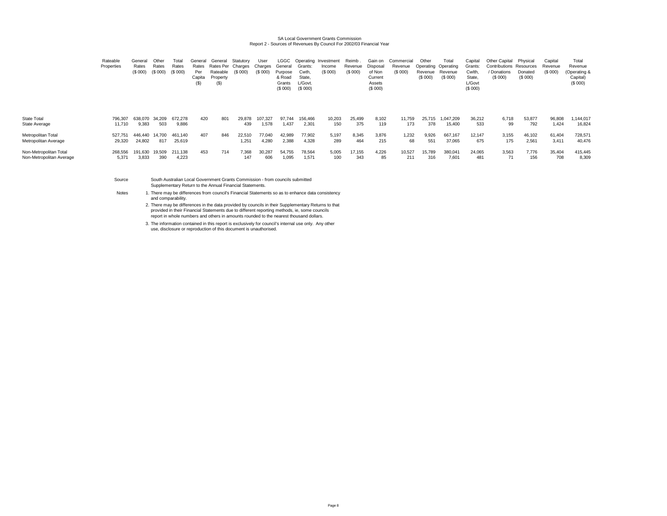# SA Local Government Grants Commission Report 2 - Sources of Revenues By Council For 2002/03 Financial Year

|                                                    | Rateable<br>Properties | General<br>Rates<br>(\$ 000 | Other<br>Rates<br>(S 000) | Total<br>Rates<br>(S 000) | General<br>Rates<br>Per<br>Capita<br>$($ \$ | General<br>Rates Per Charges<br>Rateable<br>Property<br>(S) | Statutory<br>(S 000) | User<br>Charges<br>(S 000) | General<br>Purpose<br>& Road<br>Grants<br>(S 000) | Grants:<br>Cwth.<br>State.<br>L/Govt.<br>(S 000) | LGGC Operating Investment<br>Income<br>(S 000) | Reimb.<br>Revenue<br>(S 000) | Gain on<br>Disposal<br>of Non<br>Current<br>Assets<br>(\$000) | Commercial<br>Revenue<br>(S 000) | Other<br>Revenue<br>(\$000) | Total<br>Operating Operating<br>Revenue<br>(\$000) | Capital<br>Grants:<br>Cwith.<br>State.<br>L/Govt<br>(\$000) | Other Capital<br><b>Contributions Resources</b><br>/ Donations<br>(S 000) | Physical<br>Donated<br>(S 000) | Capital<br>Revenue<br>(S 000) | Total<br>Revenue<br>(Operating &<br>Capital)<br>(S 000) |  |
|----------------------------------------------------|------------------------|-----------------------------|---------------------------|---------------------------|---------------------------------------------|-------------------------------------------------------------|----------------------|----------------------------|---------------------------------------------------|--------------------------------------------------|------------------------------------------------|------------------------------|---------------------------------------------------------------|----------------------------------|-----------------------------|----------------------------------------------------|-------------------------------------------------------------|---------------------------------------------------------------------------|--------------------------------|-------------------------------|---------------------------------------------------------|--|
| State Total                                        | 796,307                | 638.070                     | 34.209                    | 672.278                   | 420                                         | 801                                                         | 29.878               | 107.327                    | 97.744                                            | 156.466                                          | 10,203                                         | 25.499                       | 8.102                                                         | 11,759                           | 25.715                      | 1.047.209                                          | 36,212                                                      | 6,718                                                                     | 53,877                         | 96,808                        | ,144,017                                                |  |
| State Average                                      | 11,710                 | 9,383                       | 503                       | 9,886                     |                                             |                                                             | 439                  | 1,578                      | 1.437                                             | 2,301                                            | 150                                            | 375                          | 119                                                           | 173                              | 378                         | 15,400                                             | 533                                                         | 99                                                                        | 792                            | 1,424                         | 16,824                                                  |  |
| Metropolitan Total<br>Metropolitan Average         | 527,751<br>29,320      | 446.440<br>24,802           | 14.700<br>817             | 461.140<br>25,619         | 407                                         | 846                                                         | 22,510<br>1.251      | 77.040<br>4,280            | 42,989<br>2,388                                   | 77,902<br>4,328                                  | 5,197<br>289                                   | 8,345<br>464                 | 3.876<br>215                                                  | 1,232<br>68                      | 9,926<br>551                | 667,167<br>37,065                                  | 12,147<br>675                                               | 3,155<br>175                                                              | 46,102<br>2,561                | 61,404<br>3,411               | 728,571<br>40,476                                       |  |
| Non-Metropolitan Total<br>Non-Metropolitan Average | 268,556<br>5,371       | 191.630<br>3,833            | 19,509<br>390             | 211.138<br>4.223          | 453                                         | 714                                                         | 7,368<br>147         | 30,287<br>606              | 54,755<br>1,095                                   | 78,564<br>1,571                                  | 5,005<br>100                                   | 17,155<br>343                | 4.226<br>85                                                   | 10,527<br>211                    | 15.789<br>316               | 380,041<br>7,601                                   | 24,065<br>481                                               | 3,563                                                                     | 7.776<br>156                   | 35,404<br>708                 | 415,445<br>8,309                                        |  |

SourceSouth Australian Local Government Grants Commission - from councils submitted Supplementary Return to the Annual Financial Statements.

**Notes** 

 There may be differences from council's Financial Statements so as to enhance data consistency and comparability.

2. There may be differences in the data provided by councils in their Supplementary Returns to that provided in their Financial Statements due to different reporting methods, ie, some councils report in whole numbers and others in amounts rounded to the nearest thousand dollars.

3.The information contained in this report is exclusively for council's internal use only. Any other use, disclosure or reproduction of this document is unauthorised.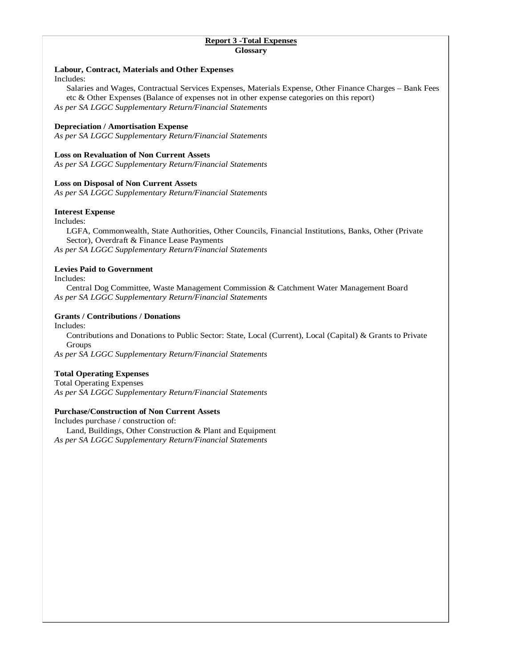# **Report 3 -Total Expenses Glossary**

# **Labour, Contract, Materials and Other Expenses**

Includes:

 Salaries and Wages, Contractual Services Expenses, Materials Expense, Other Finance Charges – Bank Fees etc & Other Expenses (Balance of expenses not in other expense categories on this report) *As per SA LGGC Supplementary Return/Financial Statements* 

# **Depreciation / Amortisation Expense**

*As per SA LGGC Supplementary Return/Financial Statements* 

# **Loss on Revaluation of Non Current Assets**

*As per SA LGGC Supplementary Return/Financial Statements* 

# **Loss on Disposal of Non Current Assets**

*As per SA LGGC Supplementary Return/Financial Statements* 

# **Interest Expense**

Includes:

 LGFA, Commonwealth, State Authorities, Other Councils, Financial Institutions, Banks, Other (Private Sector), Overdraft & Finance Lease Payments *As per SA LGGC Supplementary Return/Financial Statements* 

# **Levies Paid to Government**

Includes:

 Central Dog Committee, Waste Management Commission & Catchment Water Management Board *As per SA LGGC Supplementary Return/Financial Statements* 

# **Grants / Contributions / Donations**

Includes:

 Contributions and Donations to Public Sector: State, Local (Current), Local (Capital) & Grants to Private Groups

*As per SA LGGC Supplementary Return/Financial Statements* 

# **Total Operating Expenses**

Total Operating Expenses *As per SA LGGC Supplementary Return/Financial Statements* 

# **Purchase/Construction of Non Current Assets**

Includes purchase / construction of: Land, Buildings, Other Construction & Plant and Equipment *As per SA LGGC Supplementary Return/Financial Statements*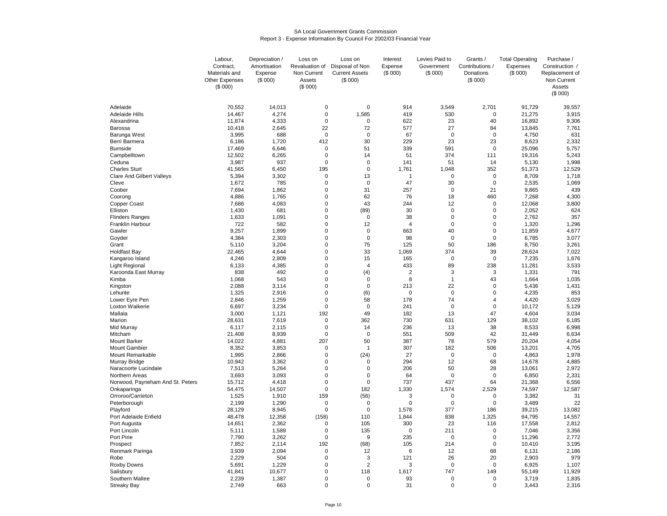#### SA Local Government Grants CommissionReport 3 - Expense Information By Council For 2002/03 Financial Year

|                                  | Labour,        | Depreciation / | Loss on        | Loss on               | Interest       | Levies Paid to           | Grants /                 | <b>Total Operating</b> | Purchase /     |
|----------------------------------|----------------|----------------|----------------|-----------------------|----------------|--------------------------|--------------------------|------------------------|----------------|
|                                  | Contract,      | Amortisation   | Revaluation of | Disposal of Non       | Expense        | Government               | Contributions /          | Expenses               | Construction / |
|                                  | Materials and  | Expense        | Non Current    | <b>Current Assets</b> | (\$000)        | (\$000)                  | Donations                | (\$000)                | Replacement of |
|                                  | Other Expenses | (\$000)        | Assets         | (\$000)               |                |                          | (\$000)                  |                        | Non Current    |
|                                  | (S 000)        |                | (\$000)        |                       |                |                          |                          |                        | Assets         |
|                                  |                |                |                |                       |                |                          |                          |                        | (\$000)        |
| Adelaide                         | 70,552         | 14.013         | 0              | 0                     | 914            | 3,549                    | 2,701                    | 91,729                 | 39,557         |
| <b>Adelaide Hills</b>            | 14,467         | 4,274          | $\mathbf 0$    | 1,585                 | 419            | 530                      | $\mathbf 0$              | 21,275                 | 3,915          |
| Alexandrina                      | 11,874         | 4,333          | $\mathbf 0$    | 0                     | 622            | 23                       | 40                       | 16,892                 | 9,306          |
| Barossa                          | 10,418         | 2,645          | 22             | 72                    | 577            | 27                       | 84                       | 13,845                 | 7,761          |
| Barunga West                     | 3,995          | 688            | $\mathbf 0$    | $\Omega$              | 67             | $\mathbf 0$              | $\mathbf 0$              | 4,750                  | 631            |
| Berri Barmera                    | 6,186          | 1,720          | 412            | 30                    | 229            | 23                       | 23                       | 8,623                  | 2,332          |
| <b>Burnside</b>                  | 17,469         | 6,646          | $\mathbf 0$    | 51                    | 339            | 591                      | $\mathbf 0$              | 25,096                 | 5,757          |
| Campbelltown                     | 12,502         | 6,265          | $\pmb{0}$      | 14                    | 51             | 374                      | 111                      | 19,316                 | 5,243          |
| Ceduna                           | 3,987          | 937            | $\mathbf 0$    | $\mathbf 0$           | 141            | 51                       | 14                       | 5,130                  | 1,998          |
| <b>Charles Sturt</b>             | 41,565         | 6,450          | 195            | 0                     | 1,761          | 1,048                    | 352                      | 51,373                 | 12,529         |
| <b>Clare And Gilbert Valleys</b> | 5,394          | 3,302          | $\mathbf 0$    | 13                    | $\mathbf{1}$   | $\mathbf 0$              | $\mathbf 0$              | 8,709                  | 1,718          |
| Cleve                            | 1,672          | 785            | $\mathbf 0$    | $\mathbf 0$           | 47             | 30                       | $\mathbf 0$              | 2,535                  | 1,069          |
| Coober                           | 7,694          | 1,862          | $\mathbf 0$    | 31                    | 257            | $\mathbf 0$              | 21                       | 9,865                  | 439            |
|                                  | 4,886          | 1,765          | $\Omega$       | 62                    | 76             | 18                       | 460                      |                        | 4,300          |
| Coorong<br><b>Copper Coast</b>   | 7,686          | 4,083          | $\mathbf 0$    | 43                    | 244            | 12                       | $\mathbf 0$              | 7,268<br>12,068        | 3,800          |
|                                  |                |                | $\mathbf 0$    | (89)                  | 30             | $\pmb{0}$                | $\mathbf 0$              |                        | 624            |
| Elliston                         | 1,430          | 681            |                |                       |                |                          |                          | 2,052                  |                |
| <b>Flinders Ranges</b>           | 1,633          | 1,091          | 0              | 0                     | 38             | $\pmb{0}$<br>$\mathbf 0$ | $\pmb{0}$<br>$\mathbf 0$ | 2,762                  | 357            |
| Franklin Harbour                 | 722            | 582            | $\Omega$       | 12                    | $\overline{4}$ |                          |                          | 1,320                  | 1,296          |
| Gawler                           | 9,257          | 1,899          | $\mathbf 0$    | $\mathbf 0$           | 663            | 40                       | 0                        | 11,859                 | 4,677          |
| Goyder                           | 4,384          | 2,303          | 0              | 0                     | 98             | 0                        | 0                        | 6,785                  | 3,077          |
| Grant                            | 5,110          | 3,204          | $\mathbf 0$    | 75                    | 125            | 50                       | 186                      | 8,750                  | 3,261          |
| <b>Holdfast Bay</b>              | 22,465         | 4,644          | $\mathbf 0$    | 33                    | 1,069          | 374                      | 39                       | 28,624                 | 7,022          |
| Kangaroo Island                  | 4,246          | 2,809          | $\mathbf 0$    | 15                    | 165            | $\mathbf 0$              | $\mathbf 0$              | 7,235                  | 1,676          |
| Light Regional                   | 6,133          | 4,385          | $\mathbf 0$    | $\overline{4}$        | 433            | 89                       | 238                      | 11,281                 | 3,533          |
| Karoonda East Murray             | 838            | 492            | $\mathbf 0$    | (4)                   | $\overline{2}$ | 3                        | 3                        | 1,331                  | 791            |
| Kimba                            | 1,068          | 543            | $\mathbf 0$    | $\mathbf 0$           | 8              | $\mathbf{1}$             | 43                       | 1,664                  | 1,035          |
| Kingston                         | 2,088          | 3,114          | $\Omega$       | $\Omega$              | 213            | 22                       | $\Omega$                 | 5,436                  | 1,431          |
| Lehunte                          | 1,325          | 2,916          | $\mathbf 0$    | (6)                   | $\mathbf 0$    | $\mathbf 0$              | $\mathbf 0$              | 4,235                  | 853            |
| Lower Eyre Pen                   | 2,846          | 1,259          | $\mathbf 0$    | 58                    | 178            | 74                       | $\overline{4}$           | 4,420                  | 3,029          |
| Loxton Waikerie                  | 6,697          | 3,234          | $\mathbf 0$    | $\mathbf 0$           | 241            | $\mathbf 0$              | $\mathbf 0$              | 10,172                 | 5,129          |
| Mallala                          | 3,000          | 1,121          | 192            | 49                    | 182            | 13                       | 47                       | 4,604                  | 3,034          |
| Marion                           | 28,631         | 7,619          | $\mathbf 0$    | 362                   | 730            | 631                      | 129                      | 38,102                 | 6,185          |
| Mid Murray                       | 6,117          | 2,115          | $\mathbf 0$    | 14                    | 236            | 13                       | 38                       | 8,533                  | 6,998          |
| Mitcham                          | 21,408         | 8,939          | $\mathbf 0$    | $\Omega$              | 551            | 509                      | 42                       | 31,449                 | 6,634          |
| <b>Mount Barker</b>              | 14,022         | 4,881          | 207            | 50                    | 387            | 78                       | 579                      | 20,204                 | 4,054          |
| <b>Mount Gambier</b>             | 8,352          | 3,853          | 0              | 1                     | 307            | 182                      | 506                      | 13,201                 | 4,705          |
| Mount Remarkable                 | 1,995          | 2,866          | 0              | (24)                  | 27             | 0                        | 0                        | 4,863                  | 1,978          |
| Murray Bridge                    | 10,942         | 3,362          | $\pmb{0}$      | 0                     | 294            | 12                       | 68                       | 14,678                 | 4,885          |
| Naracoorte Lucindale             | 7,513          | 5,264          | $\mathbf 0$    | $\Omega$              | 206            | 50                       | 28                       | 13,061                 | 2,972          |
| Northern Areas                   | 3,693          | 3,093          | $\mathbf 0$    | 0                     | 64             | $\mathbf 0$              | $\mathbf 0$              | 6,850                  | 2,331          |
| Norwood, Payneham And St. Peters | 15,712         | 4,418          | $\mathbf 0$    | 0                     | 737            | 437                      | 64                       | 21,368                 | 6,556          |
| Onkaparinga                      | 54,475         | 14,507         | $\mathbf 0$    | 182                   | 1,330          | 1,574                    | 2,529                    | 74,597                 | 12,587         |
| Orroroo/Carrieton                | 1,525          | 1,910          | 159            | (56)                  | 3              | $\mathbf 0$              | $\mathbf 0$              | 3,382                  | 31             |
| Peterborough                     | 2.199          | 1,290          | $\Omega$       | $\Omega$              | $\Omega$       | $\Omega$                 | $\Omega$                 | 3,489                  | 22             |
| Playford                         | 28,129         | 8,945          | $\mathbf 0$    | $\mathbf 0$           | 1,578          | 377                      | 186                      | 39,215                 | 13,082         |
| Port Adelaide Enfield            | 48,478         | 12,358         | (158)          | 110                   | 1,844          | 838                      | 1,325                    | 64,795                 | 14,557         |
| Port Augusta                     | 14,651         | 2,362          | 0              | 105                   | 300            | 23                       | 116                      | 17,558                 | 2,812          |
| Port Lincoln                     | 5,111          | 1,589          | $\mathbf 0$    | 135                   | 0              | 211                      | $\mathbf 0$              | 7,046                  | 3,356          |
| Port Pirie                       | 7,790          | 3,262          | $\mathbf 0$    | 9                     | 235            | $\mathbf 0$              | $\pmb{0}$                | 11,296                 | 2,772          |
| Prospect                         | 7,852          | 2,114          | 192            | (68)                  | 105            | 214                      | $\pmb{0}$                | 10,410                 | 3,195          |
| Renmark Paringa                  | 3,939          | 2,094          | 0              | 12                    | 6              | 12                       | 68                       | 6,131                  | 2,186          |
| Robe                             | 2,229          | 504            | $\Omega$       | 3                     | 121            | 26                       | 20                       | 2,903                  | 979            |
| Roxby Downs                      | 5,691          | 1,229          | 0              | $\overline{2}$        | 3              | 0                        | $\mathbf 0$              | 6,925                  | 1,107          |
| Salisbury                        | 41,841         | 10,677         | $\mathbf 0$    | 118                   | 1,617          | 747                      | 149                      | 55,149                 | 11,929         |
| Southern Mallee                  | 2,239          | 1,387          | $\mathbf 0$    | $\mathbf 0$           | 93             | $\mathbf 0$              | $\mathbf 0$              | 3,719                  | 1,835          |
| <b>Streaky Bay</b>               | 2.749          | 663            | $\Omega$       | $\Omega$              | 31             | $\Omega$                 | $\Omega$                 | 3,443                  | 2,316          |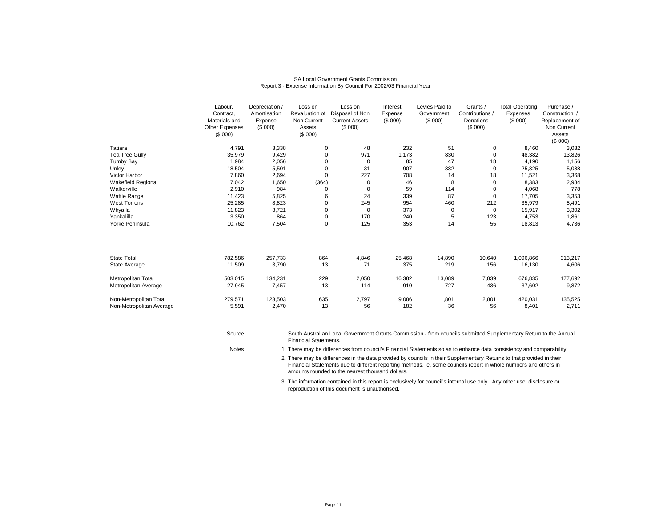| <b>SA Local Government Grants Commission</b>                         |
|----------------------------------------------------------------------|
| Report 3 - Expense Information By Council For 2002/03 Financial Year |

|                           | Labour,        | Depreciation / | Loss on        | Loss on               | Interest | Levies Paid to | Grants /        | <b>Total Operating</b> | Purchase /     |
|---------------------------|----------------|----------------|----------------|-----------------------|----------|----------------|-----------------|------------------------|----------------|
|                           | Contract,      | Amortisation   | Revaluation of | Disposal of Non       | Expense  | Government     | Contributions / | Expenses               | Construction / |
|                           | Materials and  | Expense        | Non Current    | <b>Current Assets</b> | (\$000)  | (\$000)        | Donations       | (\$000)                | Replacement of |
|                           | Other Expenses | (\$000)        | Assets         | (\$000)               |          |                | (\$000)         |                        | Non Current    |
|                           | (\$000)        |                | (\$000)        |                       |          |                |                 |                        | Assets         |
|                           |                |                |                |                       |          |                |                 |                        | (\$000)        |
| Tatiara                   | 4,791          | 3,338          | 0              | 48                    | 232      | 51             | 0               | 8,460                  | 3,032          |
| Tea Tree Gully            | 35,979         | 9,429          | 0              | 971                   | 1,173    | 830            | 0               | 48,382                 | 13,826         |
| Tumby Bay                 | 1,984          | 2,056          | 0              | 0                     | 85       | 47             | 18              | 4,190                  | 1,156          |
| Unley                     | 18,504         | 5,501          | $\mathbf 0$    | 31                    | 907      | 382            | 0               | 25,325                 | 5,088          |
| Victor Harbor             | 7,860          | 2,694          | $\mathbf 0$    | 227                   | 708      | 14             | 18              | 11,521                 | 3,368          |
| <b>Wakefield Regional</b> | 7,042          | 1,650          | (364)          | 0                     | 46       | 8              | 0               | 8,383                  | 2,984          |
| Walkerville               | 2,910          | 984            | 0              | 0                     | 59       | 114            | 0               | 4,068                  | 778            |
| Wattle Range              | 11,423         | 5,825          | 6              | 24                    | 339      | 87             | $\mathbf 0$     | 17,705                 | 3,353          |
| <b>West Torrens</b>       | 25,285         | 8,823          | 0              | 245                   | 954      | 460            | 212             | 35,979                 | 8,491          |
| Whyalla                   | 11,823         | 3,721          | 0              | 0                     | 373      | 0              | $\mathbf 0$     | 15,917                 | 3,302          |
| Yankalilla                | 3,350          | 864            | 0              | 170                   | 240      | 5              | 123             | 4,753                  | 1,861          |
| Yorke Peninsula           | 10,762         | 7,504          | $\pmb{0}$      | 125                   | 353      | 14             | 55              | 18,813                 | 4,736          |
|                           |                |                |                |                       |          |                |                 |                        |                |
| <b>State Total</b>        | 782,586        | 257,733        | 864            | 4,846                 | 25,468   | 14,890         | 10,640          | 1,096,866              | 313,217        |
| State Average             | 11,509         | 3,790          | 13             | 71                    | 375      | 219            | 156             | 16,130                 | 4,606          |
|                           |                |                |                |                       |          |                |                 |                        |                |
| Metropolitan Total        | 503,015        | 134,231        | 229            | 2,050                 | 16,382   | 13,089         | 7,839           | 676,835                | 177,692        |
| Metropolitan Average      | 27,945         | 7,457          | 13             | 114                   | 910      | 727            | 436             | 37,602                 | 9,872          |
| Non-Metropolitan Total    | 279,571        | 123,503        | 635            | 2,797                 | 9,086    | 1,801          | 2,801           | 420,031                | 135,525        |
| Non-Metropolitan Average  | 5,591          | 2,470          | 13             | 56                    | 182      | 36             | 56              | 8,401                  | 2,711          |
|                           |                |                |                |                       |          |                |                 |                        |                |
|                           |                |                |                |                       |          |                |                 |                        |                |
|                           |                |                |                |                       |          |                |                 |                        |                |

SourceSouth Australian Local Government Grants Commission - from councils submitted Supplementary Return to the Annual Financial Statements.

1. There may be differences from council's Financial Statements so as to enhance data consistency and comparability.

2. There may be differences in the data provided by councils in their Supplementary Returns to that provided in their Financial Statements due to different reporting methods, ie, some councils report in whole numbers and others in amounts rounded to the nearest thousand dollars.

3. The information contained in this report is exclusively for council's internal use only. Any other use, disclosure or reproduction of this document is unauthorised.

**Notes**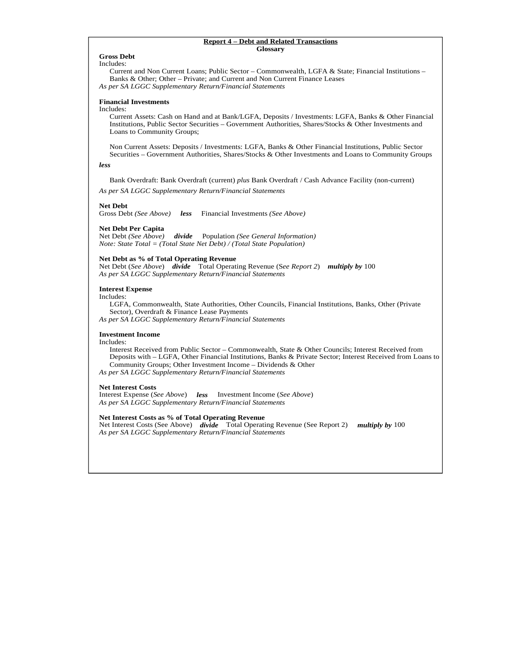#### **Report 4 – Debt and Related Transactions Glossary**

### **Gross Debt**

Includes:

 Current and Non Current Loans; Public Sector – Commonwealth, LGFA & State; Financial Institutions – Banks & Other; Other – Private; and Current and Non Current Finance Leases *As per SA LGGC Supplementary Return/Financial Statements*

### **Financial Investments**

Includes:

 Current Assets: Cash on Hand and at Bank/LGFA, Deposits / Investments: LGFA, Banks & Other Financial Institutions, Public Sector Securities – Government Authorities, Shares/Stocks & Other Investments and Loans to Community Groups;

Non Current Assets: Deposits / Investments: LGFA, Banks & Other Financial Institutions, Public Sector Securities – Government Authorities, Shares/Stocks & Other Investments and Loans to Community Groups

*less* 

Bank Overdraft: Bank Overdraft (current) *plus* Bank Overdraft / Cash Advance Facility (non-current)

*As per SA LGGC Supplementary Return/Financial Statements*

#### **Net Debt**

Gross Debt *(See Above) less* Financial Investments *(See Above)* 

# **Net Debt Per Capita**

*divide* Population (See General Information) *Note: State Total = (Total State Net Debt) / (Total State Population)* 

### **Net Debt as % of Total Operating Revenue**

Net Debt (*See Above*) *divide* Total Operating Revenue (S*ee Report 2*) *multiply by* 100 *As per SA LGGC Supplementary Return/Financial Statements*

### **Interest Expense**

Includes:

 LGFA, Commonwealth, State Authorities, Other Councils, Financial Institutions, Banks, Other (Private Sector), Overdraft & Finance Lease Payments

*As per SA LGGC Supplementary Return/Financial Statements*

#### **Investment Income**

Includes:

 Interest Received from Public Sector – Commonwealth, State & Other Councils; Interest Received from Deposits with – LGFA, Other Financial Institutions, Banks & Private Sector; Interest Received from Loans to Community Groups; Other Investment Income – Dividends & Other

*As per SA LGGC Supplementary Return/Financial Statements*

### **Net Interest Costs**

Interest Expense (*See Above*) *less* Investment Income (*See Above*) *As per SA LGGC Supplementary Return/Financial Statements*

#### **Net Interest Costs as % of Total Operating Revenue**

Net Interest Costs (See Above) *divide* Total Operating Revenue (See Report 2) *multiply by* 100 *As per SA LGGC Supplementary Return/Financial Statements*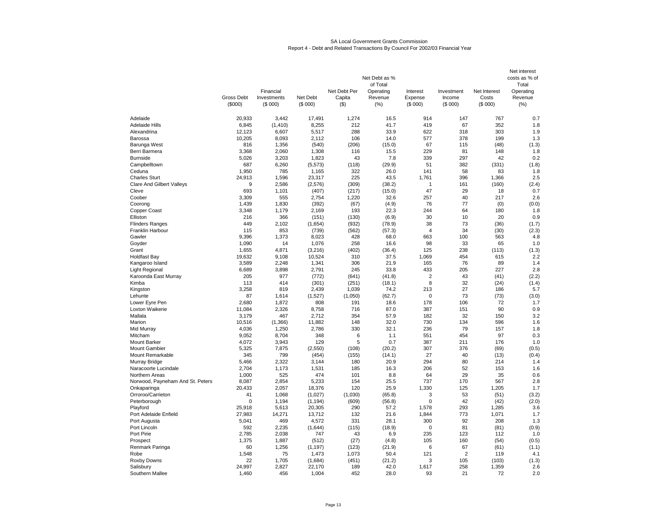#### SA Local Government Grants CommissionReport 4 - Debt and Related Transactions By Council For 2002/03 Financial Year

|                                            |                              | Financial              |                     | Net Debt Per      | Net Debt as %<br>of Total<br>Operating | Interest           | Investment        | Net Interest     | Net interest<br>costs as % of<br>Total<br>Operating |
|--------------------------------------------|------------------------------|------------------------|---------------------|-------------------|----------------------------------------|--------------------|-------------------|------------------|-----------------------------------------------------|
|                                            | <b>Gross Debt</b><br>(\$000) | Investments<br>(\$000) | Net Debt<br>(\$000) | Capita<br>$($ \$) | Revenue<br>(%)                         | Expense<br>(\$000) | Income<br>(\$000) | Costs<br>(S 000) | Revenue<br>(% )                                     |
| Adelaide                                   | 20,933                       | 3,442                  | 17,491              | 1,274             | 16.5                                   | 914                | 147               | 767              | 0.7                                                 |
| <b>Adelaide Hills</b>                      | 6,845                        | (1, 410)               | 8,255               | 212               | 41.7                                   | 419                | 67                | 352              | 1.8                                                 |
| Alexandrina                                | 12,123                       | 6,607                  | 5,517               | 288               | 33.9                                   | 622                | 318               | 303              | 1.9                                                 |
| Barossa                                    | 10,205                       | 8,093                  | 2,112               | 106               | 14.0                                   | 577                | 378               | 199              | 1.3                                                 |
| Barunga West                               | 816                          | 1,356                  | (540)               | (206)             | (15.0)                                 | 67                 | 115               | (48)             | (1.3)                                               |
| Berri Barmera                              | 3,368                        | 2,060                  | 1,308               | 116               | 15.5                                   | 229                | 81                | 148              | 1.8                                                 |
| <b>Burnside</b>                            | 5,026                        | 3,203                  | 1,823               | 43                | 7.8                                    | 339                | 297               | 42               | 0.2                                                 |
| Campbelltown                               | 687                          | 6,260                  | (5, 573)            | (118)             | (29.9)                                 | 51                 | 382               | (331)            | (1.8)                                               |
| Ceduna                                     | 1,950                        | 785                    | 1,165               | 322               | 26.0                                   | 141                | 58                | 83               | 1.8                                                 |
| <b>Charles Sturt</b>                       | 24,913                       | 1,596                  | 23,317              | 225               | 43.5                                   | 1,761              | 396               | 1,366            | 2.5                                                 |
| <b>Clare And Gilbert Valleys</b>           | 9                            | 2,586                  | (2,576)             | (309)             | (38.2)                                 | 1                  | 161               | (160)            | (2.4)                                               |
| Cleve                                      | 693                          | 1,101                  | (407)               | (217)             | (15.0)                                 | 47                 | 29                | 18               | 0.7                                                 |
| Coober                                     | 3,309                        | 555                    | 2,754               | 1,220             | 32.6                                   | 257                | 40                | 217              | 2.6                                                 |
| Coorong                                    | 1,439                        | 1,830                  | (392)               | (67)              | (4.9)                                  | 76                 | 77                | (0)              | (0.0)                                               |
| <b>Copper Coast</b>                        | 3.348                        | 1.179                  | 2,169               | 193               | 22.3                                   | 244                | 64                | 180              | 1.8                                                 |
| Elliston                                   | 216<br>449                   | 366<br>2,102           | (151)<br>(1,654)    | (130)             | (6.9)<br>(78.9)                        | 30<br>38           | 10<br>73          | 20<br>(36)       | 0.9<br>(1.7)                                        |
| <b>Flinders Ranges</b><br>Franklin Harbour | 115                          | 853                    | (739)               | (932)<br>(562)    | (57.3)                                 | $\overline{4}$     | 34                | (30)             | (2.3)                                               |
| Gawler                                     | 9,396                        | 1,373                  | 8,023               | 428               | 68.0                                   | 663                | 100               | 563              | 4.8                                                 |
| Goyder                                     | 1,090                        | 14                     | 1,076               | 258               | 16.6                                   | 98                 | 33                | 65               | 1.0                                                 |
| Grant                                      | 1,655                        | 4,871                  | (3, 216)            | (402)             | (36.4)                                 | 125                | 238               | (113)            | (1.3)                                               |
| <b>Holdfast Bay</b>                        | 19,632                       | 9,108                  | 10,524              | 310               | 37.5                                   | 1,069              | 454               | 615              | 2.2                                                 |
| Kangaroo Island                            | 3,589                        | 2,248                  | 1,341               | 306               | 21.9                                   | 165                | 76                | 89               | 1.4                                                 |
| <b>Light Regional</b>                      | 6,689                        | 3,898                  | 2,791               | 245               | 33.8                                   | 433                | 205               | 227              | 2.8                                                 |
| Karoonda East Murray                       | 205                          | 977                    | (772)               | (641)             | (41.8)                                 | $\overline{2}$     | 43                | (41)             | (2.2)                                               |
| Kimba                                      | 113                          | 414                    | (301)               | (251)             | (18.1)                                 | 8                  | 32                | (24)             | (1.4)                                               |
| Kingston                                   | 3,258                        | 819                    | 2,439               | 1,039             | 74.2                                   | 213                | 27                | 186              | 5.7                                                 |
| Lehunte                                    | 87                           | 1,614                  | (1,527)             | (1,050)           | (62.7)                                 | $\mathbf 0$        | 73                | (73)             | (3.0)                                               |
| Lower Eyre Pen                             | 2,680                        | 1,872                  | 808                 | 191               | 18.6                                   | 178                | 106               | 72               | 1.7                                                 |
| Loxton Waikerie                            | 11,084                       | 2,326                  | 8,758               | 716               | 87.0                                   | 387                | 151               | 90               | 0.9                                                 |
| Mallala                                    | 3,179                        | 467                    | 2,712               | 354               | 57.9                                   | 182                | 32                | 150              | 3.2                                                 |
| Marion                                     | 10,516                       | (1,366)                | 11,882              | 148               | 32.0                                   | 730                | 134               | 596              | 1.6                                                 |
| Mid Murray                                 | 4,036                        | 1,250                  | 2,786               | 330               | 32.1                                   | 236                | 79                | 157              | 1.8                                                 |
| Mitcham                                    | 9,052                        | 8,704                  | 348                 | 6                 | 1.1                                    | 551                | 454               | 97               | 0.3                                                 |
| <b>Mount Barker</b>                        | 4,072                        | 3,943                  | 129                 | 5                 | 0.7                                    | 387                | 211               | 176              | 1.0                                                 |
| <b>Mount Gambier</b>                       | 5,325                        | 7,875                  | (2,550)             | (108)             | (20.2)                                 | 307                | 376               | (69)             | (0.5)                                               |
| Mount Remarkable<br>Murray Bridge          | 345<br>5,466                 | 799<br>2,322           | (454)<br>3,144      | (155)<br>180      | (14.1)<br>20.9                         | 27<br>294          | 40<br>80          | (13)<br>214      | (0.4)<br>1.4                                        |
| Naracoorte Lucindale                       | 2,704                        | 1,173                  | 1,531               | 185               | 16.3                                   | 206                | 52                | 153              | 1.6                                                 |
| Northern Areas                             | 1,000                        | 525                    | 474                 | 101               | 8.8                                    | 64                 | 29                | 35               | 0.6                                                 |
| Norwood, Payneham And St. Peters           | 8,087                        | 2,854                  | 5,233               | 154               | 25.5                                   | 737                | 170               | 567              | 2.8                                                 |
| Onkaparinga                                | 20.433                       | 2.057                  | 18,376              | 120               | 25.9                                   | 1.330              | 125               | 1,205            | 1.7                                                 |
| Orroroo/Carrieton                          | 41                           | 1,068                  | (1,027)             | (1,030)           | (65.8)                                 | 3                  | 53                | (51)             | (3.2)                                               |
| Peterborough                               | $\Omega$                     | 1,194                  | (1, 194)            | (609)             | (56.8)                                 | $\Omega$           | 42                | (42)             | (2.0)                                               |
| Playford                                   | 25,918                       | 5,613                  | 20,305              | 290               | 57.2                                   | 1,578              | 293               | 1,285            | 3.6                                                 |
| Port Adelaide Enfield                      | 27,983                       | 14,271                 | 13,712              | 132               | 21.6                                   | 1.844              | 773               | 1,071            | 1.7                                                 |
| Port Augusta                               | 5,041                        | 469                    | 4,572               | 331               | 28.1                                   | 300                | 92                | 208              | 1.3                                                 |
| Port Lincoln                               | 592                          | 2,235                  | (1,644)             | (115)             | (18.9)                                 | 0                  | 81                | (81)             | (0.9)                                               |
| Port Pirie                                 | 2,785                        | 2,038                  | 747                 | 43                | 6.9                                    | 235                | 123               | 112              | 1.0                                                 |
| Prospect                                   | 1,375                        | 1,887                  | (512)               | (27)              | (4.8)                                  | 105                | 160               | (54)             | (0.5)                                               |
| Renmark Paringa                            | 60                           | 1,256                  | (1, 197)            | (123)             | (21.9)                                 | 6                  | 67                | (61)             | (1.1)                                               |
| Robe                                       | 1,548                        | 75                     | 1,473               | 1,073             | 50.4                                   | 121                | $\overline{2}$    | 119              | 4.1                                                 |
| Roxby Downs                                | 22                           | 1.705                  | (1,684)             | (451)             | (21.2)                                 | 3                  | 105               | (103)            | (1.3)                                               |
| Salisbury                                  | 24,997                       | 2,827                  | 22,170              | 189               | 42.0                                   | 1,617              | 258               | 1,359            | 2.6                                                 |
| Southern Mallee                            | 1.460                        | 456                    | 1.004               | 452               | 28.0                                   | 93                 | 21                | 72               | 2.0                                                 |